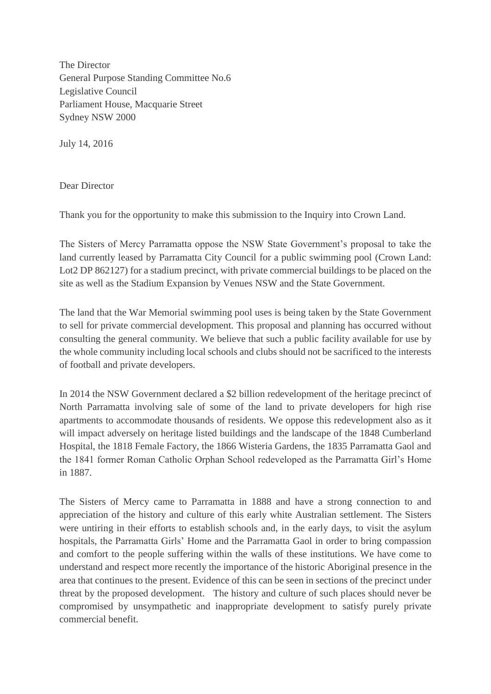The Director General Purpose Standing Committee No.6 Legislative Council Parliament House, Macquarie Street Sydney NSW 2000

July 14, 2016

Dear Director

Thank you for the opportunity to make this submission to the Inquiry into Crown Land.

The Sisters of Mercy Parramatta oppose the NSW State Government's proposal to take the land currently leased by Parramatta City Council for a public swimming pool (Crown Land: Lot2 DP 862127) for a stadium precinct, with private commercial buildings to be placed on the site as well as the Stadium Expansion by Venues NSW and the State Government.

The land that the War Memorial swimming pool uses is being taken by the State Government to sell for private commercial development. This proposal and planning has occurred without consulting the general community. We believe that such a public facility available for use by the whole community including local schools and clubs should not be sacrificed to the interests of football and private developers.

In 2014 the NSW Government declared a \$2 billion redevelopment of the heritage precinct of North Parramatta involving sale of some of the land to private developers for high rise apartments to accommodate thousands of residents. We oppose this redevelopment also as it will impact adversely on heritage listed buildings and the landscape of the 1848 Cumberland Hospital, the 1818 Female Factory, the 1866 Wisteria Gardens, the 1835 Parramatta Gaol and the 1841 former Roman Catholic Orphan School redeveloped as the Parramatta Girl's Home in 1887.

The Sisters of Mercy came to Parramatta in 1888 and have a strong connection to and appreciation of the history and culture of this early white Australian settlement. The Sisters were untiring in their efforts to establish schools and, in the early days, to visit the asylum hospitals, the Parramatta Girls' Home and the Parramatta Gaol in order to bring compassion and comfort to the people suffering within the walls of these institutions. We have come to understand and respect more recently the importance of the historic Aboriginal presence in the area that continues to the present. Evidence of this can be seen in sections of the precinct under threat by the proposed development. The history and culture of such places should never be compromised by unsympathetic and inappropriate development to satisfy purely private commercial benefit.